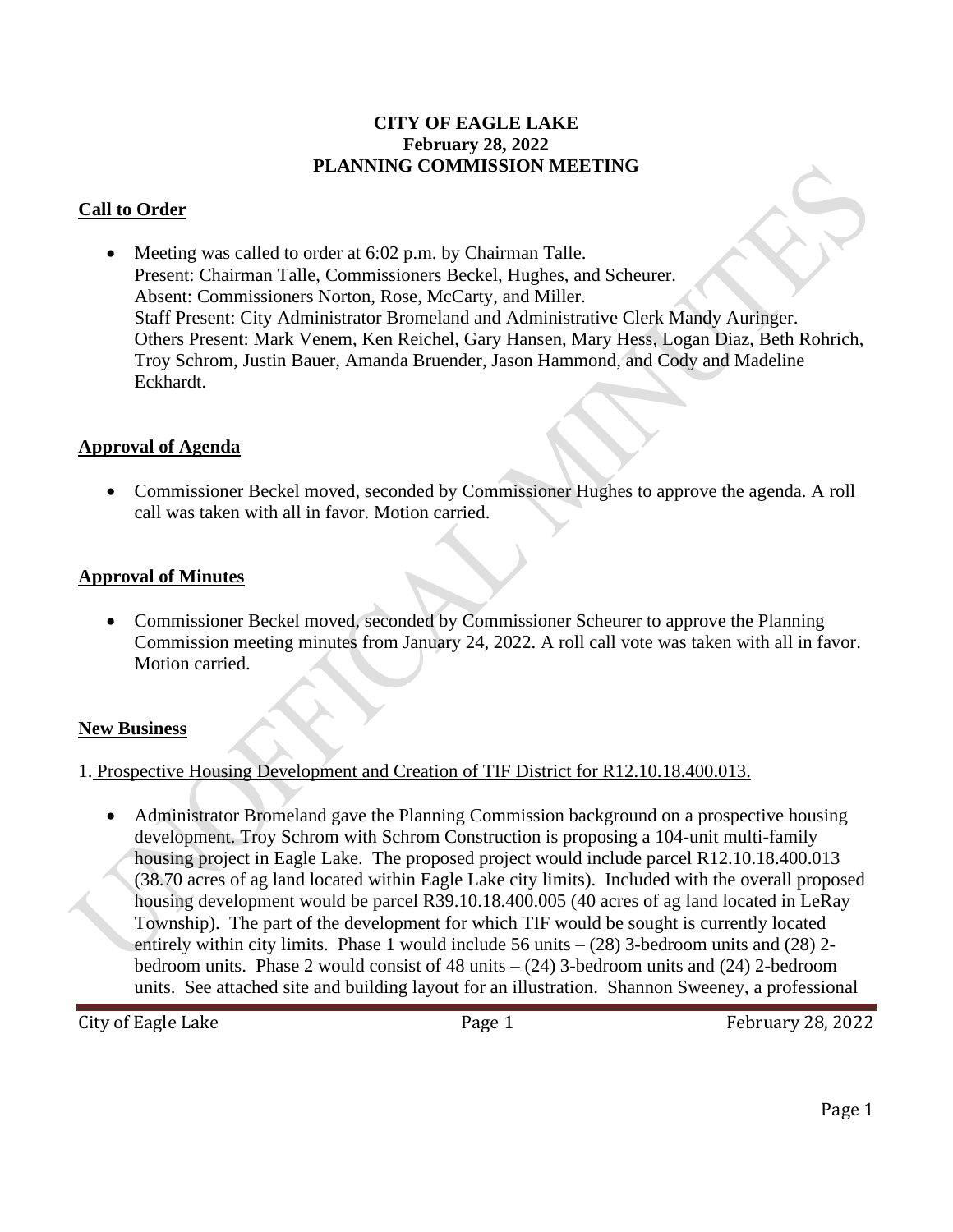#### **CITY OF EAGLE LAKE February 28, 2022 PLANNING COMMISSION MEETING**

### **Call to Order**

• Meeting was called to order at 6:02 p.m. by Chairman Talle. Present: Chairman Talle, Commissioners Beckel, Hughes, and Scheurer. Absent: Commissioners Norton, Rose, McCarty, and Miller. Staff Present: City Administrator Bromeland and Administrative Clerk Mandy Auringer. Others Present: Mark Venem, Ken Reichel, Gary Hansen, Mary Hess, Logan Diaz, Beth Rohrich, Troy Schrom, Justin Bauer, Amanda Bruender, Jason Hammond, and Cody and Madeline Eckhardt.

#### **Approval of Agenda**

• Commissioner Beckel moved, seconded by Commissioner Hughes to approve the agenda. A roll call was taken with all in favor. Motion carried.

#### **Approval of Minutes**

• Commissioner Beckel moved, seconded by Commissioner Scheurer to approve the Planning Commission meeting minutes from January 24, 2022. A roll call vote was taken with all in favor. Motion carried.

#### **New Business**

1. Prospective Housing Development and Creation of TIF District for R12.10.18.400.013.

• Administrator Bromeland gave the Planning Commission background on a prospective housing development. Troy Schrom with Schrom Construction is proposing a 104-unit multi-family housing project in Eagle Lake. The proposed project would include parcel R12.10.18.400.013 (38.70 acres of ag land located within Eagle Lake city limits). Included with the overall proposed housing development would be parcel R39.10.18.400.005 (40 acres of ag land located in LeRay Township). The part of the development for which TIF would be sought is currently located entirely within city limits. Phase 1 would include 56 units  $-(28)$  3-bedroom units and (28) 2bedroom units. Phase 2 would consist of 48 units  $-(24)$  3-bedroom units and (24) 2-bedroom units. See attached site and building layout for an illustration. Shannon Sweeney, a professional

City of Eagle Lake **Page 1** Page 1 February 28, 2022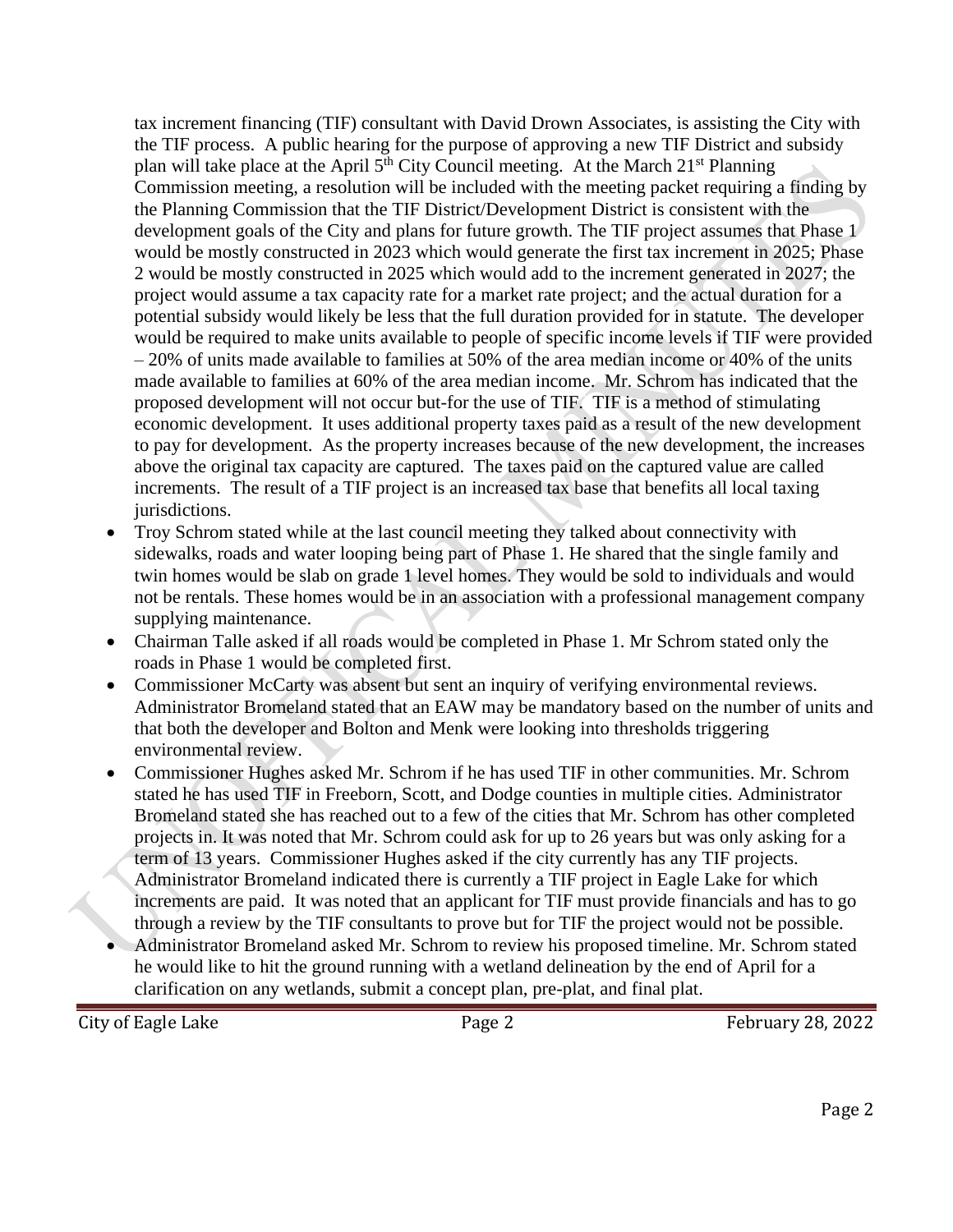tax increment financing (TIF) consultant with David Drown Associates, is assisting the City with the TIF process. A public hearing for the purpose of approving a new TIF District and subsidy plan will take place at the April  $5<sup>th</sup>$  City Council meeting. At the March 21<sup>st</sup> Planning Commission meeting, a resolution will be included with the meeting packet requiring a finding by the Planning Commission that the TIF District/Development District is consistent with the development goals of the City and plans for future growth. The TIF project assumes that Phase 1 would be mostly constructed in 2023 which would generate the first tax increment in 2025; Phase 2 would be mostly constructed in 2025 which would add to the increment generated in 2027; the project would assume a tax capacity rate for a market rate project; and the actual duration for a potential subsidy would likely be less that the full duration provided for in statute. The developer would be required to make units available to people of specific income levels if TIF were provided  $-20\%$  of units made available to families at 50% of the area median income or 40% of the units made available to families at 60% of the area median income. Mr. Schrom has indicated that the proposed development will not occur but-for the use of TIF. TIF is a method of stimulating economic development. It uses additional property taxes paid as a result of the new development to pay for development. As the property increases because of the new development, the increases above the original tax capacity are captured. The taxes paid on the captured value are called increments. The result of a TIF project is an increased tax base that benefits all local taxing jurisdictions.

- Troy Schrom stated while at the last council meeting they talked about connectivity with sidewalks, roads and water looping being part of Phase 1. He shared that the single family and twin homes would be slab on grade 1 level homes. They would be sold to individuals and would not be rentals. These homes would be in an association with a professional management company supplying maintenance.
- Chairman Talle asked if all roads would be completed in Phase 1. Mr Schrom stated only the roads in Phase 1 would be completed first.
- Commissioner McCarty was absent but sent an inquiry of verifying environmental reviews. Administrator Bromeland stated that an EAW may be mandatory based on the number of units and that both the developer and Bolton and Menk were looking into thresholds triggering environmental review.
- Commissioner Hughes asked Mr. Schrom if he has used TIF in other communities. Mr. Schrom stated he has used TIF in Freeborn, Scott, and Dodge counties in multiple cities. Administrator Bromeland stated she has reached out to a few of the cities that Mr. Schrom has other completed projects in. It was noted that Mr. Schrom could ask for up to 26 years but was only asking for a term of 13 years. Commissioner Hughes asked if the city currently has any TIF projects. Administrator Bromeland indicated there is currently a TIF project in Eagle Lake for which increments are paid. It was noted that an applicant for TIF must provide financials and has to go through a review by the TIF consultants to prove but for TIF the project would not be possible.
- Administrator Bromeland asked Mr. Schrom to review his proposed timeline. Mr. Schrom stated he would like to hit the ground running with a wetland delineation by the end of April for a clarification on any wetlands, submit a concept plan, pre-plat, and final plat.

City of Eagle Lake **Page 2** Page 2 February 28, 2022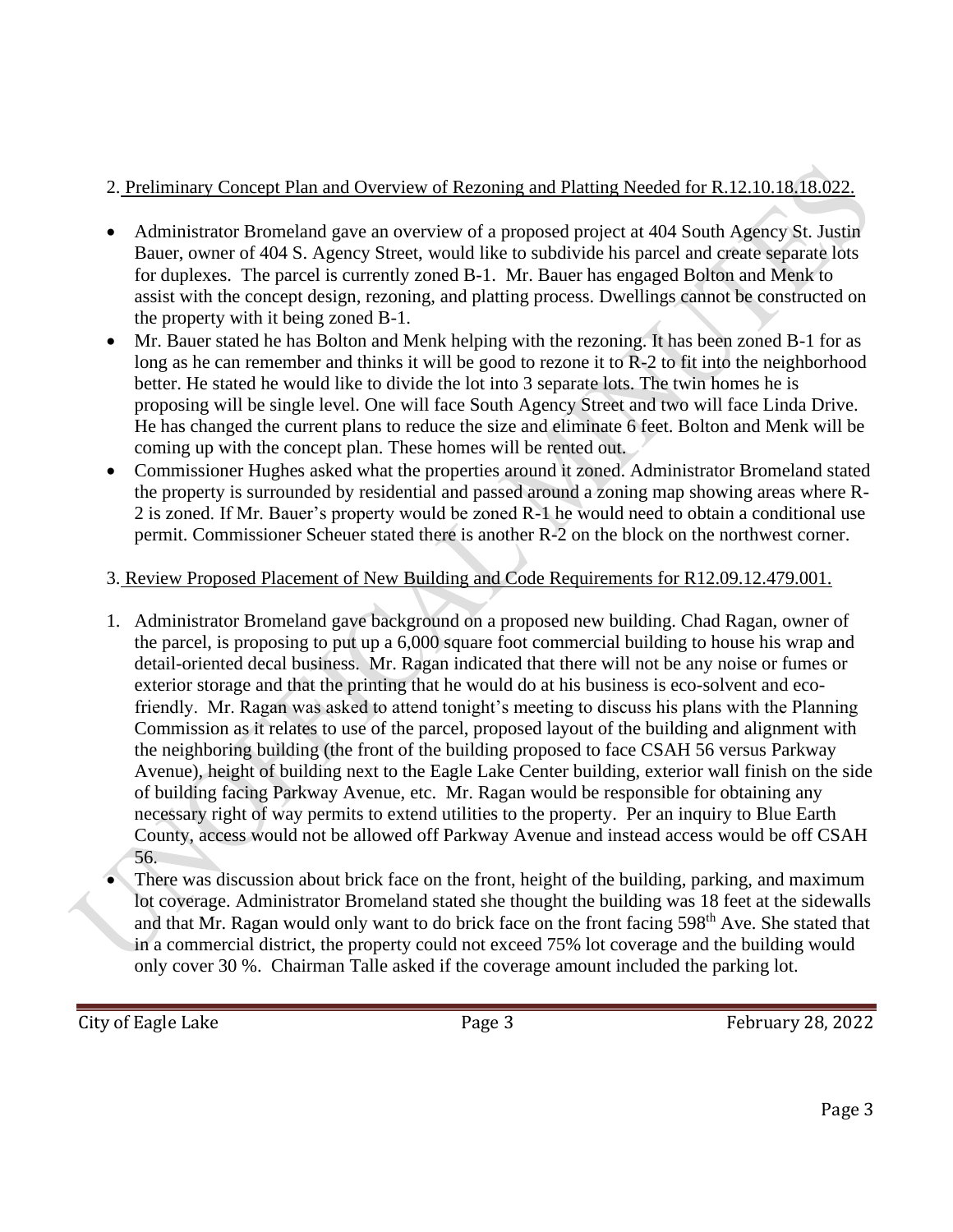# 2. Preliminary Concept Plan and Overview of Rezoning and Platting Needed for R.12.10.18.18.022.

- Administrator Bromeland gave an overview of a proposed project at 404 South Agency St. Justin Bauer, owner of 404 S. Agency Street, would like to subdivide his parcel and create separate lots for duplexes. The parcel is currently zoned B-1. Mr. Bauer has engaged Bolton and Menk to assist with the concept design, rezoning, and platting process. Dwellings cannot be constructed on the property with it being zoned B-1.
- Mr. Bauer stated he has Bolton and Menk helping with the rezoning. It has been zoned B-1 for as long as he can remember and thinks it will be good to rezone it to R-2 to fit into the neighborhood better. He stated he would like to divide the lot into 3 separate lots. The twin homes he is proposing will be single level. One will face South Agency Street and two will face Linda Drive. He has changed the current plans to reduce the size and eliminate 6 feet. Bolton and Menk will be coming up with the concept plan. These homes will be rented out.
- Commissioner Hughes asked what the properties around it zoned. Administrator Bromeland stated the property is surrounded by residential and passed around a zoning map showing areas where R-2 is zoned. If Mr. Bauer's property would be zoned R-1 he would need to obtain a conditional use permit. Commissioner Scheuer stated there is another R-2 on the block on the northwest corner.

## 3. Review Proposed Placement of New Building and Code Requirements for R12.09.12.479.001.

- 1. Administrator Bromeland gave background on a proposed new building. Chad Ragan, owner of the parcel, is proposing to put up a 6,000 square foot commercial building to house his wrap and detail-oriented decal business. Mr. Ragan indicated that there will not be any noise or fumes or exterior storage and that the printing that he would do at his business is eco-solvent and ecofriendly. Mr. Ragan was asked to attend tonight's meeting to discuss his plans with the Planning Commission as it relates to use of the parcel, proposed layout of the building and alignment with the neighboring building (the front of the building proposed to face CSAH 56 versus Parkway Avenue), height of building next to the Eagle Lake Center building, exterior wall finish on the side of building facing Parkway Avenue, etc. Mr. Ragan would be responsible for obtaining any necessary right of way permits to extend utilities to the property. Per an inquiry to Blue Earth County, access would not be allowed off Parkway Avenue and instead access would be off CSAH 56.
- There was discussion about brick face on the front, height of the building, parking, and maximum lot coverage. Administrator Bromeland stated she thought the building was 18 feet at the sidewalls and that Mr. Ragan would only want to do brick face on the front facing 598<sup>th</sup> Ave. She stated that in a commercial district, the property could not exceed 75% lot coverage and the building would only cover 30 %. Chairman Talle asked if the coverage amount included the parking lot.